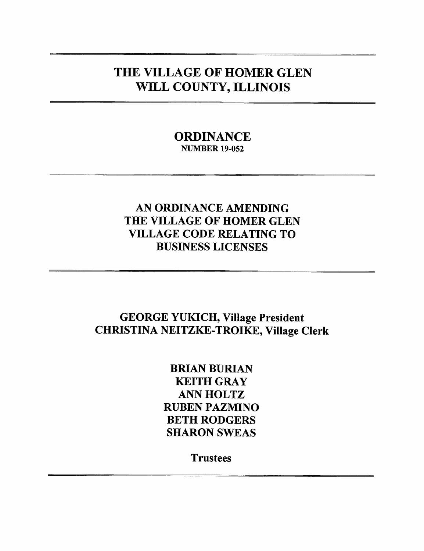# THE VILLAGE OF HOMER GLEN WILL COUNTY, ILLINOIS

## **ORDINANCE NUMBER 19-052**

## AN ORDINANCE AMENDING THE VILLAGE OF HOMER GLEN **VILLAGE CODE RELATING TO BUSINESS LICENSES**

## **GEORGE YUKICH, Village President CHRISTINA NEITZKE-TROIKE, Village Clerk**

**BRIAN BURIAN KEITH GRAY ANN HOLTZ RUBEN PAZMINO BETH RODGERS SHARON SWEAS** 

**Trustees**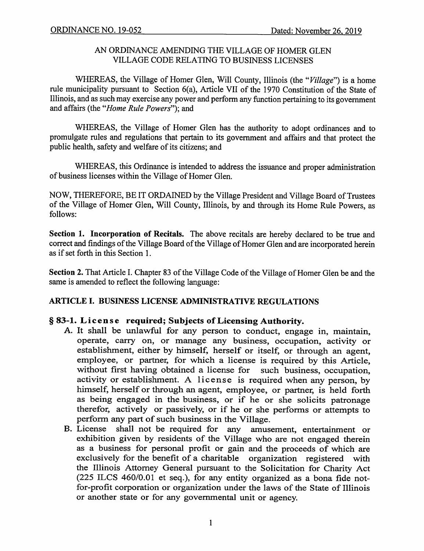### AN ORDINANCE AMENDING THE VILLAGE OF HOMER GLEN **VILLAGE CODE RELATING TO BUSINESS LICENSES**

WHEREAS, the Village of Homer Glen, Will County, Illinois (the "Village") is a home rule municipality pursuant to Section 6(a), Article VII of the 1970 Constitution of the State of Illinois, and as such may exercise any power and perform any function pertaining to its government and affairs (the "Home Rule Powers"); and

WHEREAS, the Village of Homer Glen has the authority to adopt ordinances and to promulgate rules and regulations that pertain to its government and affairs and that protect the public health, safety and welfare of its citizens; and

WHEREAS, this Ordinance is intended to address the issuance and proper administration of business licenses within the Village of Homer Glen.

NOW, THEREFORE, BE IT ORDAINED by the Village President and Village Board of Trustees of the Village of Homer Glen, Will County, Illinois, by and through its Home Rule Powers, as follows:

Section 1. Incorporation of Recitals. The above recitals are hereby declared to be true and correct and findings of the Village Board of the Village of Homer Glen and are incorporated herein as if set forth in this Section 1.

Section 2. That Article I. Chapter 83 of the Village Code of the Village of Homer Glen be and the same is amended to reflect the following language:

## ARTICLE I. BUSINESS LICENSE ADMINISTRATIVE REGULATIONS

### § 83-1. License required; Subjects of Licensing Authority.

- A. It shall be unlawful for any person to conduct, engage in, maintain, operate, carry on, or manage any business, occupation, activity or establishment, either by himself, herself or itself, or through an agent, employee, or partner, for which a license is required by this Article, without first having obtained a license for such business, occupation, activity or establishment. A license is required when any person, by himself, herself or through an agent, employee, or partner, is held forth as being engaged in the business, or if he or she solicits patronage therefor, actively or passively, or if he or she performs or attempts to perform any part of such business in the Village.
- B. License shall not be required for any amusement, entertainment or exhibition given by residents of the Village who are not engaged therein as a business for personal profit or gain and the proceeds of which are exclusively for the benefit of a charitable organization registered with the Illinois Attorney General pursuant to the Solicitation for Charity Act (225 ILCS 460/0.01 et seq.), for any entity organized as a bona fide notfor-profit corporation or organization under the laws of the State of Illinois or another state or for any governmental unit or agency.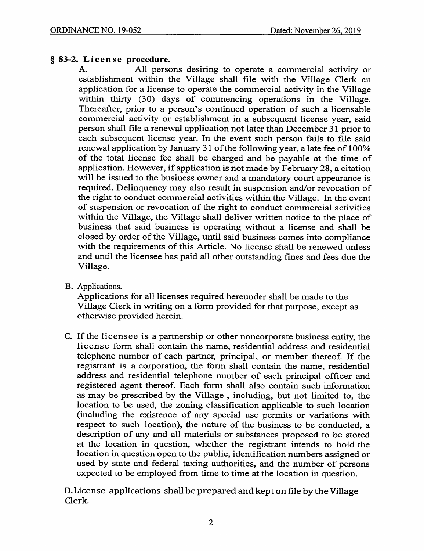## § 83-2. License procedure.

All persons desiring to operate a commercial activity or A. establishment within the Village shall file with the Village Clerk an application for a license to operate the commercial activity in the Village within thirty (30) days of commencing operations in the Village. Thereafter, prior to a person's continued operation of such a licensable commercial activity or establishment in a subsequent license year, said person shall file a renewal application not later than December 31 prior to each subsequent license year. In the event such person fails to file said renewal application by January 31 of the following year, a late fee of 100% of the total license fee shall be charged and be payable at the time of application. However, if application is not made by February 28, a citation will be issued to the business owner and a mandatory court appearance is required. Delinquency may also result in suspension and/or revocation of the right to conduct commercial activities within the Village. In the event of suspension or revocation of the right to conduct commercial activities within the Village, the Village shall deliver written notice to the place of business that said business is operating without a license and shall be closed by order of the Village, until said business comes into compliance with the requirements of this Article. No license shall be renewed unless and until the licensee has paid all other outstanding fines and fees due the Village.

B. Applications.

Applications for all licenses required hereunder shall be made to the Village Clerk in writing on a form provided for that purpose, except as otherwise provided herein.

C. If the licensee is a partnership or other noncorporate business entity, the license form shall contain the name, residential address and residential telephone number of each partner, principal, or member thereof. If the registrant is a corporation, the form shall contain the name, residential address and residential telephone number of each principal officer and registered agent thereof. Each form shall also contain such information as may be prescribed by the Village, including, but not limited to, the location to be used, the zoning classification applicable to such location (including the existence of any special use permits or variations with respect to such location), the nature of the business to be conducted, a description of any and all materials or substances proposed to be stored at the location in question, whether the registrant intends to hold the location in question open to the public, identification numbers assigned or used by state and federal taxing authorities, and the number of persons expected to be employed from time to time at the location in question.

D. License applications shall be prepared and kept on file by the Village Clerk.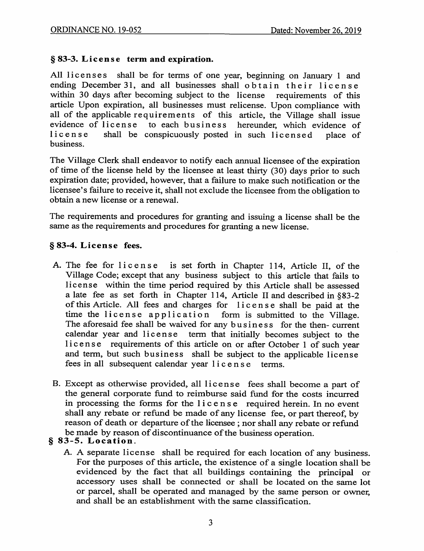## § 83-3. License term and expiration.

shall be for terms of one year, beginning on January 1 and All licenses ending December 31, and all businesses shall obtain their license within 30 days after becoming subject to the license requirements of this article Upon expiration, all businesses must relicense. Upon compliance with all of the applicable requirements of this article, the Village shall issue evidence of license to each business hereunder, which evidence of shall be conspicuously posted in such licensed license place of business.

The Village Clerk shall endeavor to notify each annual licensee of the expiration of time of the license held by the licensee at least thirty (30) days prior to such expiration date; provided, however, that a failure to make such notification or the licensee's failure to receive it, shall not exclude the licensee from the obligation to obtain a new license or a renewal.

The requirements and procedures for granting and issuing a license shall be the same as the requirements and procedures for granting a new license.

## § 83-4. License fees.

- A. The fee for license is set forth in Chapter 114, Article II, of the Village Code; except that any business subject to this article that fails to license within the time period required by this Article shall be assessed a late fee as set forth in Chapter 114, Article II and described in §83-2 of this Article. All fees and charges for license shall be paid at the time the license application form is submitted to the Village. The aforesaid fee shall be waived for any business for the then-current calendar year and license term that initially becomes subject to the license requirements of this article on or after October 1 of such year and term, but such business shall be subject to the applicable license fees in all subsequent calendar year license terms.
- B. Except as otherwise provided, all license fees shall become a part of the general corporate fund to reimburse said fund for the costs incurred in processing the forms for the license required herein. In no event shall any rebate or refund be made of any license fee, or part thereof, by reason of death or departure of the licensee; nor shall any rebate or refund be made by reason of discontinuance of the business operation.

## § 83-5. Location.

A. A separate license shall be required for each location of any business. For the purposes of this article, the existence of a single location shall be evidenced by the fact that all buildings containing the principal or accessory uses shall be connected or shall be located on the same lot or parcel, shall be operated and managed by the same person or owner, and shall be an establishment with the same classification.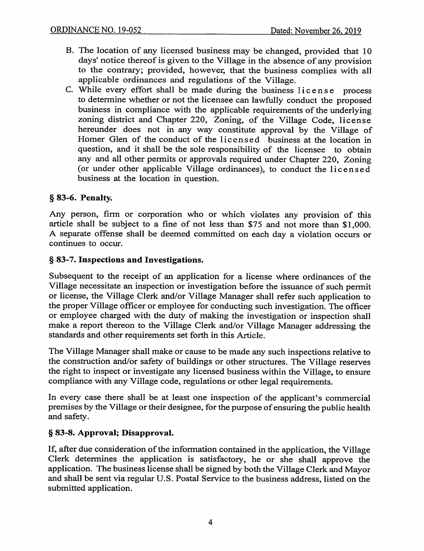- B. The location of any licensed business may be changed, provided that 10 days' notice thereof is given to the Village in the absence of any provision to the contrary; provided, however, that the business complies with all applicable ordinances and regulations of the Village.
- C. While every effort shall be made during the business license process to determine whether or not the licensee can lawfully conduct the proposed business in compliance with the applicable requirements of the underlying zoning district and Chapter 220, Zoning, of the Village Code, license hereunder does not in any way constitute approval by the Village of Homer Glen of the conduct of the licensed business at the location in question, and it shall be the sole responsibility of the licensee to obtain any and all other permits or approvals required under Chapter 220, Zoning (or under other applicable Village ordinances), to conduct the licensed business at the location in question.

### § 83-6. Penalty.

Any person, firm or corporation who or which violates any provision of this article shall be subject to a fine of not less than \$75 and not more than \$1,000. A separate offense shall be deemed committed on each day a violation occurs or continues to occur.

#### § 83-7. Inspections and Investigations.

Subsequent to the receipt of an application for a license where ordinances of the Village necessitate an inspection or investigation before the issuance of such permit or license, the Village Clerk and/or Village Manager shall refer such application to the proper Village officer or employee for conducting such investigation. The officer or employee charged with the duty of making the investigation or inspection shall make a report thereon to the Village Clerk and/or Village Manager addressing the standards and other requirements set forth in this Article.

The Village Manager shall make or cause to be made any such inspections relative to the construction and/or safety of buildings or other structures. The Village reserves the right to inspect or investigate any licensed business within the Village, to ensure compliance with any Village code, regulations or other legal requirements.

In every case there shall be at least one inspection of the applicant's commercial premises by the Village or their designee, for the purpose of ensuring the public health and safety.

### § 83-8. Approval; Disapproval.

If, after due consideration of the information contained in the application, the Village Clerk determines the application is satisfactory, he or she shall approve the application. The business license shall be signed by both the Village Clerk and Mayor and shall be sent via regular U.S. Postal Service to the business address, listed on the submitted application.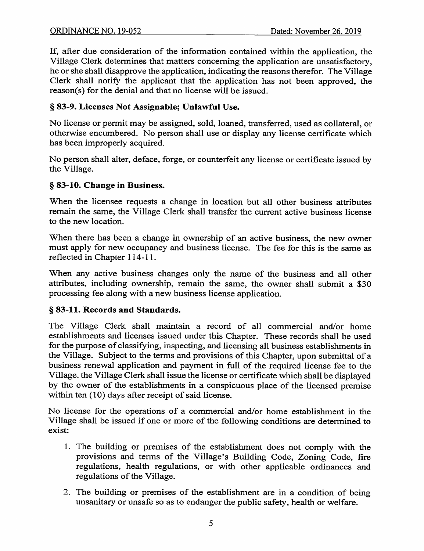If, after due consideration of the information contained within the application, the Village Clerk determines that matters concerning the application are unsatisfactory, he or she shall disapprove the application, indicating the reasons therefor. The Village Clerk shall notify the applicant that the application has not been approved, the reason(s) for the denial and that no license will be issued.

## § 83-9. Licenses Not Assignable; Unlawful Use.

No license or permit may be assigned, sold, loaned, transferred, used as collateral, or otherwise encumbered. No person shall use or display any license certificate which has been improperly acquired.

No person shall alter, deface, forge, or counterfeit any license or certificate issued by the Village.

## § 83-10. Change in Business.

When the licensee requests a change in location but all other business attributes remain the same, the Village Clerk shall transfer the current active business license to the new location.

When there has been a change in ownership of an active business, the new owner must apply for new occupancy and business license. The fee for this is the same as reflected in Chapter 114-11.

When any active business changes only the name of the business and all other attributes, including ownership, remain the same, the owner shall submit a \$30 processing fee along with a new business license application.

## § 83-11. Records and Standards.

The Village Clerk shall maintain a record of all commercial and/or home establishments and licenses issued under this Chapter. These records shall be used for the purpose of classifying, inspecting, and licensing all business establishments in the Village. Subject to the terms and provisions of this Chapter, upon submittal of a business renewal application and payment in full of the required license fee to the Village, the Village Clerk shall issue the license or certificate which shall be displayed by the owner of the establishments in a conspicuous place of the licensed premise within ten (10) days after receipt of said license.

No license for the operations of a commercial and/or home establishment in the Village shall be issued if one or more of the following conditions are determined to exist:

- 1. The building or premises of the establishment does not comply with the provisions and terms of the Village's Building Code, Zoning Code, fire regulations, health regulations, or with other applicable ordinances and regulations of the Village.
- 2. The building or premises of the establishment are in a condition of being unsanitary or unsafe so as to endanger the public safety, health or welfare.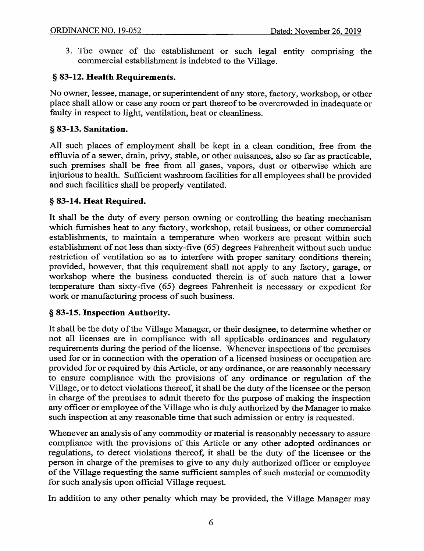3. The owner of the establishment or such legal entity comprising the commercial establishment is indebted to the Village.

## § 83-12. Health Requirements.

No owner, lessee, manage, or superintendent of any store, factory, workshop, or other place shall allow or case any room or part thereof to be overcrowded in inadequate or faulty in respect to light, ventilation, heat or cleanliness.

## § 83-13. Sanitation.

All such places of employment shall be kept in a clean condition, free from the effluvia of a sewer, drain, privy, stable, or other nuisances, also so far as practicable. such premises shall be free from all gases, vapors, dust or otherwise which are injurious to health. Sufficient washroom facilities for all employees shall be provided and such facilities shall be properly ventilated.

## § 83-14. Heat Required.

It shall be the duty of every person owning or controlling the heating mechanism which furnishes heat to any factory, workshop, retail business, or other commercial establishments, to maintain a temperature when workers are present within such establishment of not less than sixty-five (65) degrees Fahrenheit without such undue restriction of ventilation so as to interfere with proper sanitary conditions therein; provided, however, that this requirement shall not apply to any factory, garage, or workshop where the business conducted therein is of such nature that a lower temperature than sixty-five (65) degrees Fahrenheit is necessary or expedient for work or manufacturing process of such business.

### § 83-15. Inspection Authority.

It shall be the duty of the Village Manager, or their designee, to determine whether or not all licenses are in compliance with all applicable ordinances and regulatory requirements during the period of the license. Whenever inspections of the premises used for or in connection with the operation of a licensed business or occupation are provided for or required by this Article, or any ordinance, or are reasonably necessary to ensure compliance with the provisions of any ordinance or regulation of the Village, or to detect violations thereof, it shall be the duty of the licensee or the person in charge of the premises to admit thereto for the purpose of making the inspection any officer or employee of the Village who is duly authorized by the Manager to make such inspection at any reasonable time that such admission or entry is requested.

Whenever an analysis of any commodity or material is reasonably necessary to assure compliance with the provisions of this Article or any other adopted ordinances or regulations, to detect violations thereof, it shall be the duty of the licensee or the person in charge of the premises to give to any duly authorized officer or employee of the Village requesting the same sufficient samples of such material or commodity for such analysis upon official Village request.

In addition to any other penalty which may be provided, the Village Manager may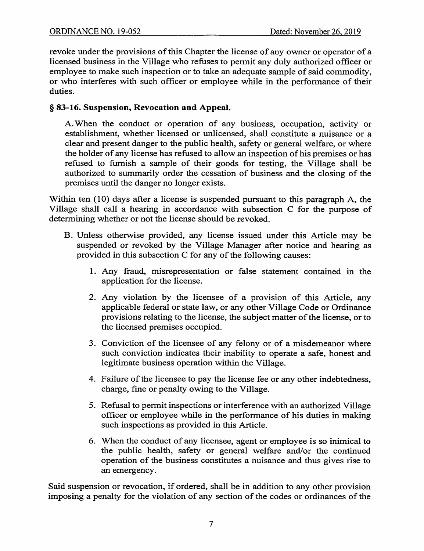revoke under the provisions of this Chapter the license of any owner or operator of a licensed business in the Village who refuses to permit any duly authorized officer or employee to make such inspection or to take an adequate sample of said commodity, or who interferes with such officer or employee while in the performance of their duties.

## § 83-16. Suspension, Revocation and Appeal.

A. When the conduct or operation of any business, occupation, activity or establishment, whether licensed or unlicensed, shall constitute a nuisance or a clear and present danger to the public health, safety or general welfare, or where the holder of any license has refused to allow an inspection of his premises or has refused to furnish a sample of their goods for testing, the Village shall be authorized to summarily order the cessation of business and the closing of the premises until the danger no longer exists.

Within ten (10) days after a license is suspended pursuant to this paragraph A, the Village shall call a hearing in accordance with subsection C for the purpose of determining whether or not the license should be revoked.

- B. Unless otherwise provided, any license issued under this Article may be suspended or revoked by the Village Manager after notice and hearing as provided in this subsection C for any of the following causes:
	- 1. Any fraud, misrepresentation or false statement contained in the application for the license.
	- 2. Any violation by the licensee of a provision of this Article, any applicable federal or state law, or any other Village Code or Ordinance provisions relating to the license, the subject matter of the license, or to the licensed premises occupied.
	- 3. Conviction of the licensee of any felony or of a misdemeanor where such conviction indicates their inability to operate a safe, honest and legitimate business operation within the Village.
	- 4. Failure of the licensee to pay the license fee or any other indebtedness, charge, fine or penalty owing to the Village.
	- 5. Refusal to permit inspections or interference with an authorized Village officer or employee while in the performance of his duties in making such inspections as provided in this Article.
	- 6. When the conduct of any licensee, agent or employee is so inimical to the public health, safety or general welfare and/or the continued operation of the business constitutes a nuisance and thus gives rise to an emergency.

Said suspension or revocation, if ordered, shall be in addition to any other provision imposing a penalty for the violation of any section of the codes or ordinances of the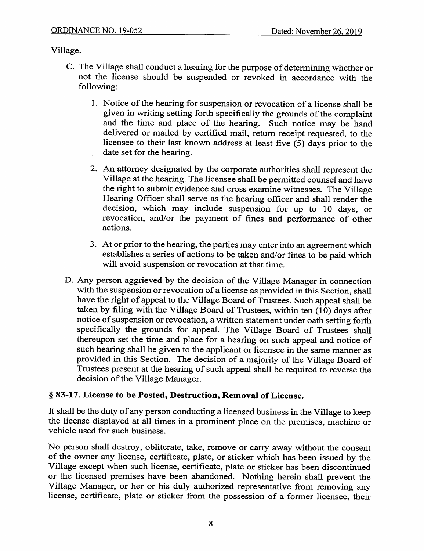Village.

- C. The Village shall conduct a hearing for the purpose of determining whether or not the license should be suspended or revoked in accordance with the following:
	- 1. Notice of the hearing for suspension or revocation of a license shall be given in writing setting forth specifically the grounds of the complaint and the time and place of the hearing. Such notice may be hand delivered or mailed by certified mail, return receipt requested, to the licensee to their last known address at least five  $(5)$  days prior to the date set for the hearing.
	- 2. An attorney designated by the corporate authorities shall represent the Village at the hearing. The licensee shall be permitted counsel and have the right to submit evidence and cross examine witnesses. The Village Hearing Officer shall serve as the hearing officer and shall render the decision, which may include suspension for up to 10 days, or revocation, and/or the payment of fines and performance of other actions.
	- 3. At or prior to the hearing, the parties may enter into an agreement which establishes a series of actions to be taken and/or fines to be paid which will avoid suspension or revocation at that time.
- D. Any person aggrieved by the decision of the Village Manager in connection with the suspension or revocation of a license as provided in this Section, shall have the right of appeal to the Village Board of Trustees. Such appeal shall be taken by filing with the Village Board of Trustees, within ten  $(10)$  days after notice of suspension or revocation, a written statement under oath setting forth specifically the grounds for appeal. The Village Board of Trustees shall thereupon set the time and place for a hearing on such appeal and notice of such hearing shall be given to the applicant or licensee in the same manner as provided in this Section. The decision of a majority of the Village Board of Trustees present at the hearing of such appeal shall be required to reverse the decision of the Village Manager.

## § 83-17. License to be Posted, Destruction, Removal of License.

It shall be the duty of any person conducting a licensed business in the Village to keep the license displayed at all times in a prominent place on the premises, machine or vehicle used for such business.

No person shall destroy, obliterate, take, remove or carry away without the consent of the owner any license, certificate, plate, or sticker which has been issued by the Village except when such license, certificate, plate or sticker has been discontinued or the licensed premises have been abandoned. Nothing herein shall prevent the Village Manager, or her or his duly authorized representative from removing any license, certificate, plate or sticker from the possession of a former licensee, their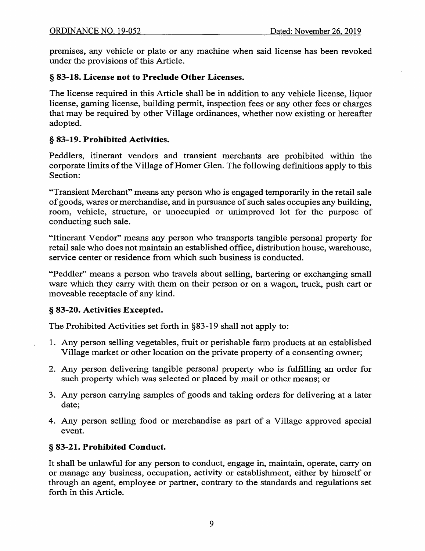premises, any vehicle or plate or any machine when said license has been revoked under the provisions of this Article.

## § 83-18. License not to Preclude Other Licenses.

The license required in this Article shall be in addition to any vehicle license, liquor license, gaming license, building permit, inspection fees or any other fees or charges that may be required by other Village ordinances, whether now existing or hereafter adopted.

## § 83-19. Prohibited Activities.

Peddlers, itinerant vendors and transient merchants are prohibited within the corporate limits of the Village of Homer Glen. The following definitions apply to this Section:

"Transient Merchant" means any person who is engaged temporarily in the retail sale of goods, wares or merchandise, and in pursuance of such sales occupies any building, room, vehicle, structure, or unoccupied or unimproved lot for the purpose of conducting such sale.

"Itinerant Vendor" means any person who transports tangible personal property for retail sale who does not maintain an established office, distribution house, warehouse, service center or residence from which such business is conducted.

"Peddler" means a person who travels about selling, bartering or exchanging small ware which they carry with them on their person or on a wagon, truck, push cart or moveable receptacle of any kind.

## § 83-20. Activities Excepted.

The Prohibited Activities set forth in §83-19 shall not apply to:

- 1. Any person selling vegetables, fruit or perishable farm products at an established Village market or other location on the private property of a consenting owner;
- 2. Any person delivering tangible personal property who is fulfilling an order for such property which was selected or placed by mail or other means; or
- 3. Any person carrying samples of goods and taking orders for delivering at a later date:
- 4. Any person selling food or merchandise as part of a Village approved special event.

## § 83-21. Prohibited Conduct.

It shall be unlawful for any person to conduct, engage in, maintain, operate, carry on or manage any business, occupation, activity or establishment, either by himself or through an agent, employee or partner, contrary to the standards and regulations set forth in this Article.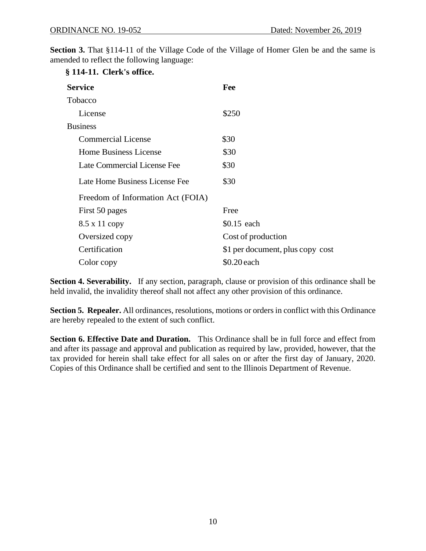**Section 3.** That §114-11 of the Village Code of the Village of Homer Glen be and the same is amended to reflect the following language:

| § 114-11. Clerk's office.         |                                  |
|-----------------------------------|----------------------------------|
| <b>Service</b>                    | Fee                              |
| Tobacco                           |                                  |
| License                           | \$250                            |
| <b>Business</b>                   |                                  |
| <b>Commercial License</b>         | \$30                             |
| <b>Home Business License</b>      | \$30                             |
| Late Commercial License Fee       | \$30                             |
| Late Home Business License Fee    | \$30                             |
| Freedom of Information Act (FOIA) |                                  |
| First 50 pages                    | Free                             |
| 8.5 x 11 copy                     | \$0.15 each                      |
| Oversized copy                    | Cost of production               |
| Certification                     | \$1 per document, plus copy cost |
| Color copy                        | \$0.20 each                      |

**Section 4. Severability.** If any section, paragraph, clause or provision of this ordinance shall be held invalid, the invalidity thereof shall not affect any other provision of this ordinance.

**Section 5. Repealer.** All ordinances, resolutions, motions or orders in conflict with this Ordinance are hereby repealed to the extent of such conflict.

**Section 6. Effective Date and Duration.** This Ordinance shall be in full force and effect from and after its passage and approval and publication as required by law, provided, however, that the tax provided for herein shall take effect for all sales on or after the first day of January, 2020. Copies of this Ordinance shall be certified and sent to the Illinois Department of Revenue.